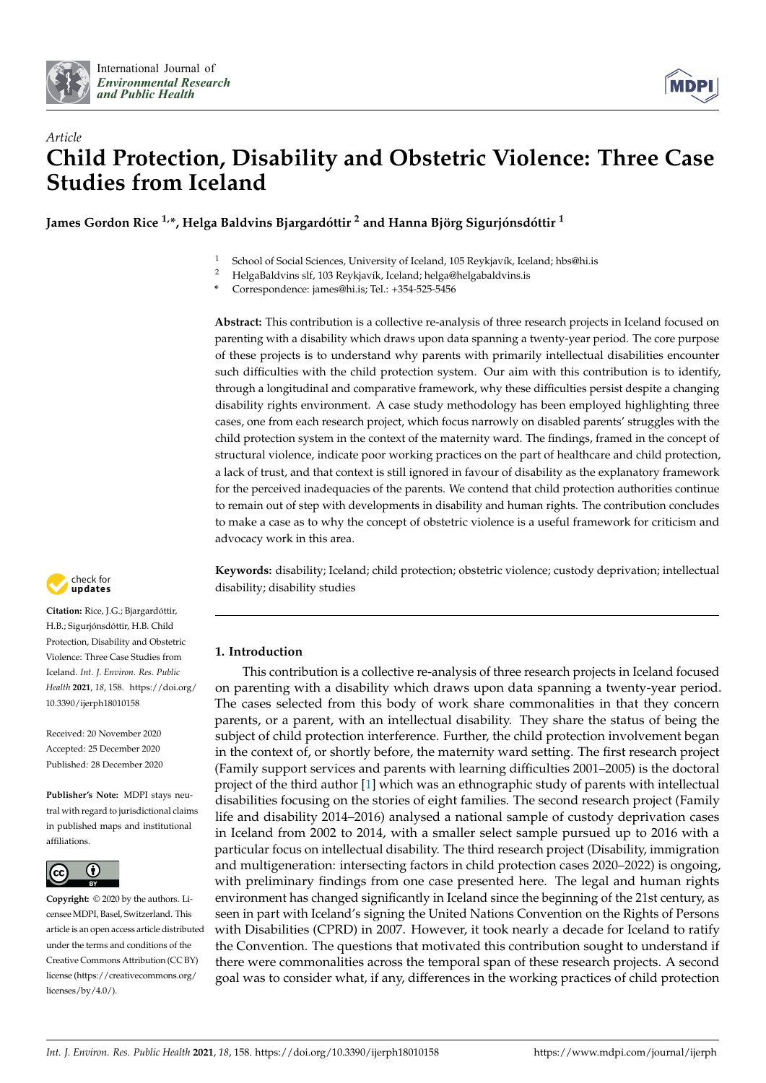



# *Article* **Child Protection, Disability and Obstetric Violence: Three Case Studies from Iceland**

**James Gordon Rice 1,\*, Helga Baldvins Bjargardóttir <sup>2</sup> and Hanna Björg Sigurjónsdóttir <sup>1</sup>**

<sup>1</sup> School of Social Sciences, University of Iceland, 105 Reykjavík, Iceland; hbs@hi.is<br><sup>2</sup> HolgaBaldyins elf 103 Reykjavík, Iceland; holga@bolgabaldyins is

<sup>2</sup> HelgaBaldvins slf, 103 Reykjavík, Iceland; helga@helgabaldvins.is

**\*** Correspondence: james@hi.is; Tel.: +354-525-5456

**Abstract:** This contribution is a collective re-analysis of three research projects in Iceland focused on parenting with a disability which draws upon data spanning a twenty-year period. The core purpose of these projects is to understand why parents with primarily intellectual disabilities encounter such difficulties with the child protection system. Our aim with this contribution is to identify, through a longitudinal and comparative framework, why these difficulties persist despite a changing disability rights environment. A case study methodology has been employed highlighting three cases, one from each research project, which focus narrowly on disabled parents' struggles with the child protection system in the context of the maternity ward. The findings, framed in the concept of structural violence, indicate poor working practices on the part of healthcare and child protection, a lack of trust, and that context is still ignored in favour of disability as the explanatory framework for the perceived inadequacies of the parents. We contend that child protection authorities continue to remain out of step with developments in disability and human rights. The contribution concludes to make a case as to why the concept of obstetric violence is a useful framework for criticism and advocacy work in this area.

check for **-**

**Citation:** Rice, J.G.; Bjargardóttir, H.B.; Sigurjónsdóttir, H.B. Child Protection, Disability and Obstetric Violence: Three Case Studies from Iceland. *Int. J. Environ. Res. Public Health* **2021**, *18*, 158. [https://doi.org/](https://doi.org/10.3390/ijerph18010158) [10.3390/ijerph18010158](https://doi.org/10.3390/ijerph18010158)

Received: 20 November 2020 Accepted: 25 December 2020 Published: 28 December 2020

**Publisher's Note:** MDPI stays neutral with regard to jurisdictional claims in published maps and institutional affiliations.



**Copyright:** © 2020 by the authors. Licensee MDPI, Basel, Switzerland. This article is an open access article distributed under the terms and conditions of the Creative Commons Attribution (CC BY) license [\(https://creativecommons.org/](https://creativecommons.org/licenses/by/4.0/) [licenses/by/4.0/\)](https://creativecommons.org/licenses/by/4.0/).

**Keywords:** disability; Iceland; child protection; obstetric violence; custody deprivation; intellectual disability; disability studies

# **1. Introduction**

This contribution is a collective re-analysis of three research projects in Iceland focused on parenting with a disability which draws upon data spanning a twenty-year period. The cases selected from this body of work share commonalities in that they concern parents, or a parent, with an intellectual disability. They share the status of being the subject of child protection interference. Further, the child protection involvement began in the context of, or shortly before, the maternity ward setting. The first research project (Family support services and parents with learning difficulties 2001–2005) is the doctoral project of the third author [\[1\]](#page-12-0) which was an ethnographic study of parents with intellectual disabilities focusing on the stories of eight families. The second research project (Family life and disability 2014–2016) analysed a national sample of custody deprivation cases in Iceland from 2002 to 2014, with a smaller select sample pursued up to 2016 with a particular focus on intellectual disability. The third research project (Disability, immigration and multigeneration: intersecting factors in child protection cases 2020–2022) is ongoing, with preliminary findings from one case presented here. The legal and human rights environment has changed significantly in Iceland since the beginning of the 21st century, as seen in part with Iceland's signing the United Nations Convention on the Rights of Persons with Disabilities (CPRD) in 2007. However, it took nearly a decade for Iceland to ratify the Convention. The questions that motivated this contribution sought to understand if there were commonalities across the temporal span of these research projects. A second goal was to consider what, if any, differences in the working practices of child protection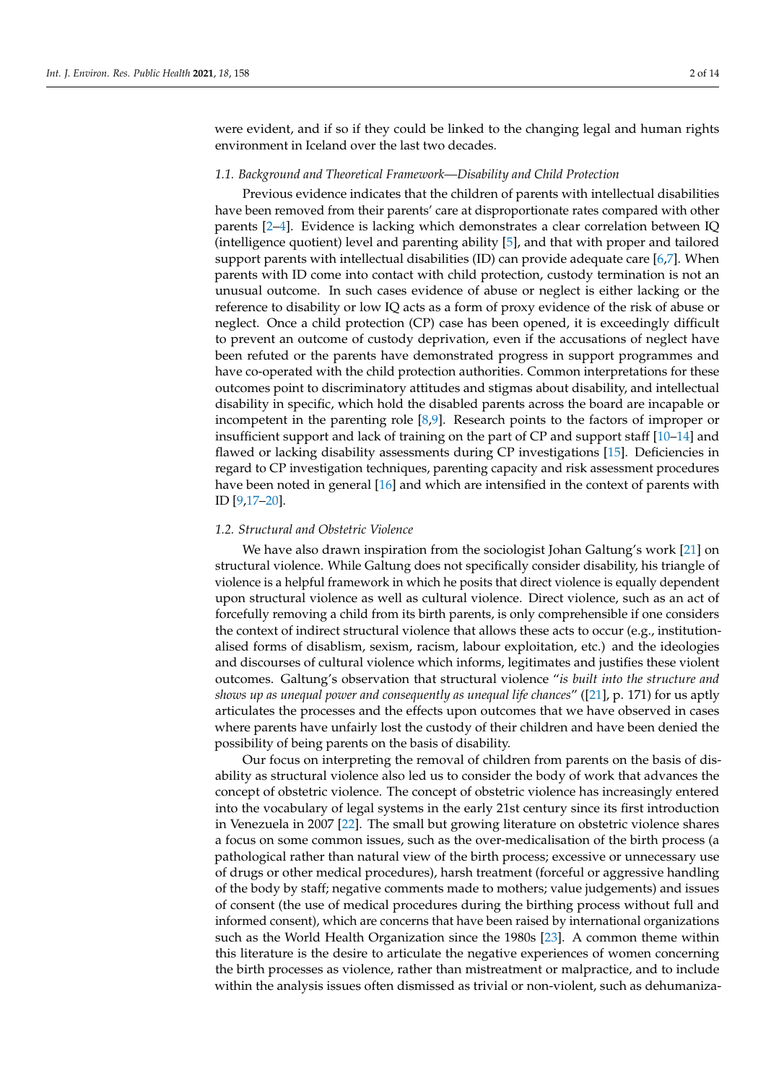were evident, and if so if they could be linked to the changing legal and human rights environment in Iceland over the last two decades.

# *1.1. Background and Theoretical Framework—Disability and Child Protection*

Previous evidence indicates that the children of parents with intellectual disabilities have been removed from their parents' care at disproportionate rates compared with other parents [\[2](#page-12-1)[–4\]](#page-12-2). Evidence is lacking which demonstrates a clear correlation between IQ (intelligence quotient) level and parenting ability [\[5\]](#page-12-3), and that with proper and tailored support parents with intellectual disabilities (ID) can provide adequate care [\[6](#page-12-4)[,7\]](#page-12-5). When parents with ID come into contact with child protection, custody termination is not an unusual outcome. In such cases evidence of abuse or neglect is either lacking or the reference to disability or low IQ acts as a form of proxy evidence of the risk of abuse or neglect. Once a child protection (CP) case has been opened, it is exceedingly difficult to prevent an outcome of custody deprivation, even if the accusations of neglect have been refuted or the parents have demonstrated progress in support programmes and have co-operated with the child protection authorities. Common interpretations for these outcomes point to discriminatory attitudes and stigmas about disability, and intellectual disability in specific, which hold the disabled parents across the board are incapable or incompetent in the parenting role [\[8,](#page-12-6)[9\]](#page-12-7). Research points to the factors of improper or insufficient support and lack of training on the part of CP and support staff [\[10](#page-12-8)[–14\]](#page-13-0) and flawed or lacking disability assessments during CP investigations [\[15\]](#page-13-1). Deficiencies in regard to CP investigation techniques, parenting capacity and risk assessment procedures have been noted in general [\[16\]](#page-13-2) and which are intensified in the context of parents with ID [\[9,](#page-12-7)[17–](#page-13-3)[20\]](#page-13-4).

#### *1.2. Structural and Obstetric Violence*

We have also drawn inspiration from the sociologist Johan Galtung's work [\[21\]](#page-13-5) on structural violence. While Galtung does not specifically consider disability, his triangle of violence is a helpful framework in which he posits that direct violence is equally dependent upon structural violence as well as cultural violence. Direct violence, such as an act of forcefully removing a child from its birth parents, is only comprehensible if one considers the context of indirect structural violence that allows these acts to occur (e.g., institutionalised forms of disablism, sexism, racism, labour exploitation, etc.) and the ideologies and discourses of cultural violence which informs, legitimates and justifies these violent outcomes. Galtung's observation that structural violence "*is built into the structure and shows up as unequal power and consequently as unequal life chances*" ([\[21\]](#page-13-5), p. 171) for us aptly articulates the processes and the effects upon outcomes that we have observed in cases where parents have unfairly lost the custody of their children and have been denied the possibility of being parents on the basis of disability.

Our focus on interpreting the removal of children from parents on the basis of disability as structural violence also led us to consider the body of work that advances the concept of obstetric violence. The concept of obstetric violence has increasingly entered into the vocabulary of legal systems in the early 21st century since its first introduction in Venezuela in 2007 [\[22\]](#page-13-6). The small but growing literature on obstetric violence shares a focus on some common issues, such as the over-medicalisation of the birth process (a pathological rather than natural view of the birth process; excessive or unnecessary use of drugs or other medical procedures), harsh treatment (forceful or aggressive handling of the body by staff; negative comments made to mothers; value judgements) and issues of consent (the use of medical procedures during the birthing process without full and informed consent), which are concerns that have been raised by international organizations such as the World Health Organization since the 1980s [\[23\]](#page-13-7). A common theme within this literature is the desire to articulate the negative experiences of women concerning the birth processes as violence, rather than mistreatment or malpractice, and to include within the analysis issues often dismissed as trivial or non-violent, such as dehumaniza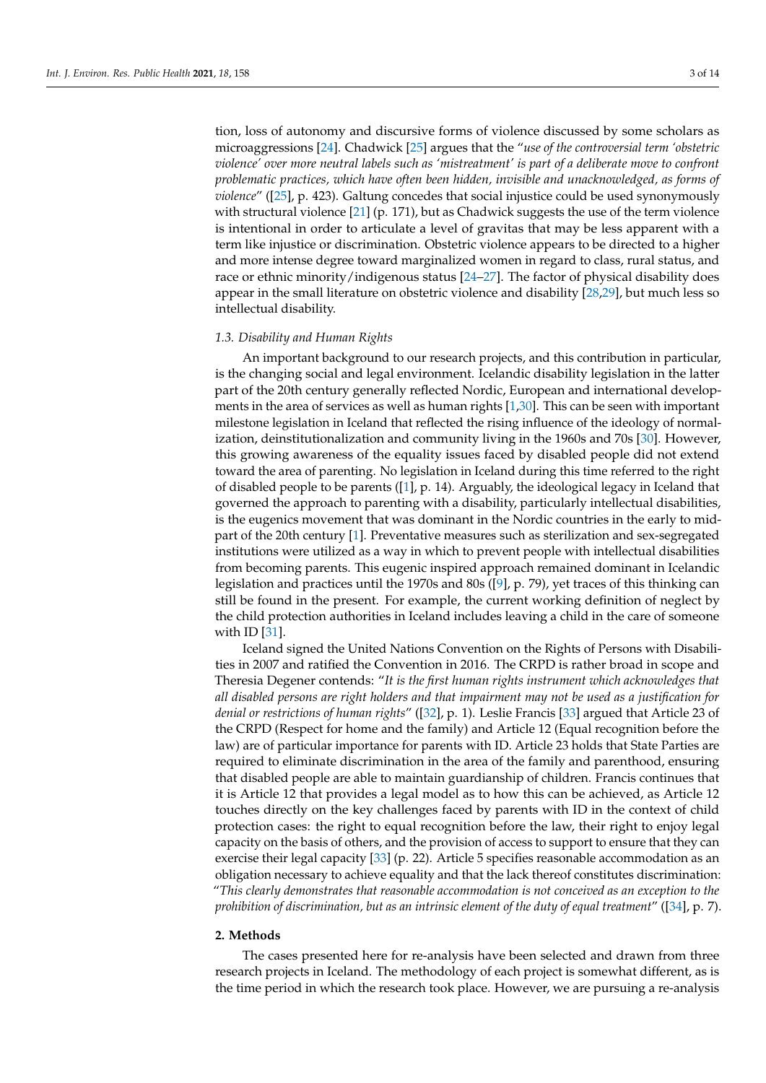tion, loss of autonomy and discursive forms of violence discussed by some scholars as microaggressions [\[24\]](#page-13-8). Chadwick [\[25\]](#page-13-9) argues that the "*use of the controversial term 'obstetric violence' over more neutral labels such as 'mistreatment' is part of a deliberate move to confront problematic practices, which have often been hidden, invisible and unacknowledged, as forms of violence*" ([\[25\]](#page-13-9), p. 423). Galtung concedes that social injustice could be used synonymously with structural violence  $[21]$  (p. 171), but as Chadwick suggests the use of the term violence is intentional in order to articulate a level of gravitas that may be less apparent with a term like injustice or discrimination. Obstetric violence appears to be directed to a higher and more intense degree toward marginalized women in regard to class, rural status, and race or ethnic minority/indigenous status [\[24–](#page-13-8)[27\]](#page-13-10). The factor of physical disability does appear in the small literature on obstetric violence and disability [\[28,](#page-13-11)[29\]](#page-13-12), but much less so intellectual disability.

#### *1.3. Disability and Human Rights*

An important background to our research projects, and this contribution in particular, is the changing social and legal environment. Icelandic disability legislation in the latter part of the 20th century generally reflected Nordic, European and international developments in the area of services as well as human rights [\[1,](#page-12-0)[30\]](#page-13-13). This can be seen with important milestone legislation in Iceland that reflected the rising influence of the ideology of normalization, deinstitutionalization and community living in the 1960s and 70s [\[30\]](#page-13-13). However, this growing awareness of the equality issues faced by disabled people did not extend toward the area of parenting. No legislation in Iceland during this time referred to the right of disabled people to be parents ([\[1\]](#page-12-0), p. 14). Arguably, the ideological legacy in Iceland that governed the approach to parenting with a disability, particularly intellectual disabilities, is the eugenics movement that was dominant in the Nordic countries in the early to midpart of the 20th century [\[1\]](#page-12-0). Preventative measures such as sterilization and sex-segregated institutions were utilized as a way in which to prevent people with intellectual disabilities from becoming parents. This eugenic inspired approach remained dominant in Icelandic legislation and practices until the 1970s and 80s ([\[9\]](#page-12-7), p. 79), yet traces of this thinking can still be found in the present. For example, the current working definition of neglect by the child protection authorities in Iceland includes leaving a child in the care of someone with ID [\[31\]](#page-13-14).

Iceland signed the United Nations Convention on the Rights of Persons with Disabilities in 2007 and ratified the Convention in 2016. The CRPD is rather broad in scope and Theresia Degener contends: "*It is the first human rights instrument which acknowledges that all disabled persons are right holders and that impairment may not be used as a justification for denial or restrictions of human rights*" ([\[32\]](#page-13-15), p. 1). Leslie Francis [\[33\]](#page-13-16) argued that Article 23 of the CRPD (Respect for home and the family) and Article 12 (Equal recognition before the law) are of particular importance for parents with ID. Article 23 holds that State Parties are required to eliminate discrimination in the area of the family and parenthood, ensuring that disabled people are able to maintain guardianship of children. Francis continues that it is Article 12 that provides a legal model as to how this can be achieved, as Article 12 touches directly on the key challenges faced by parents with ID in the context of child protection cases: the right to equal recognition before the law, their right to enjoy legal capacity on the basis of others, and the provision of access to support to ensure that they can exercise their legal capacity [\[33\]](#page-13-16) (p. 22). Article 5 specifies reasonable accommodation as an obligation necessary to achieve equality and that the lack thereof constitutes discrimination: "*This clearly demonstrates that reasonable accommodation is not conceived as an exception to the prohibition of discrimination, but as an intrinsic element of the duty of equal treatment*" ([\[34\]](#page-13-17), p. 7).

# **2. Methods**

The cases presented here for re-analysis have been selected and drawn from three research projects in Iceland. The methodology of each project is somewhat different, as is the time period in which the research took place. However, we are pursuing a re-analysis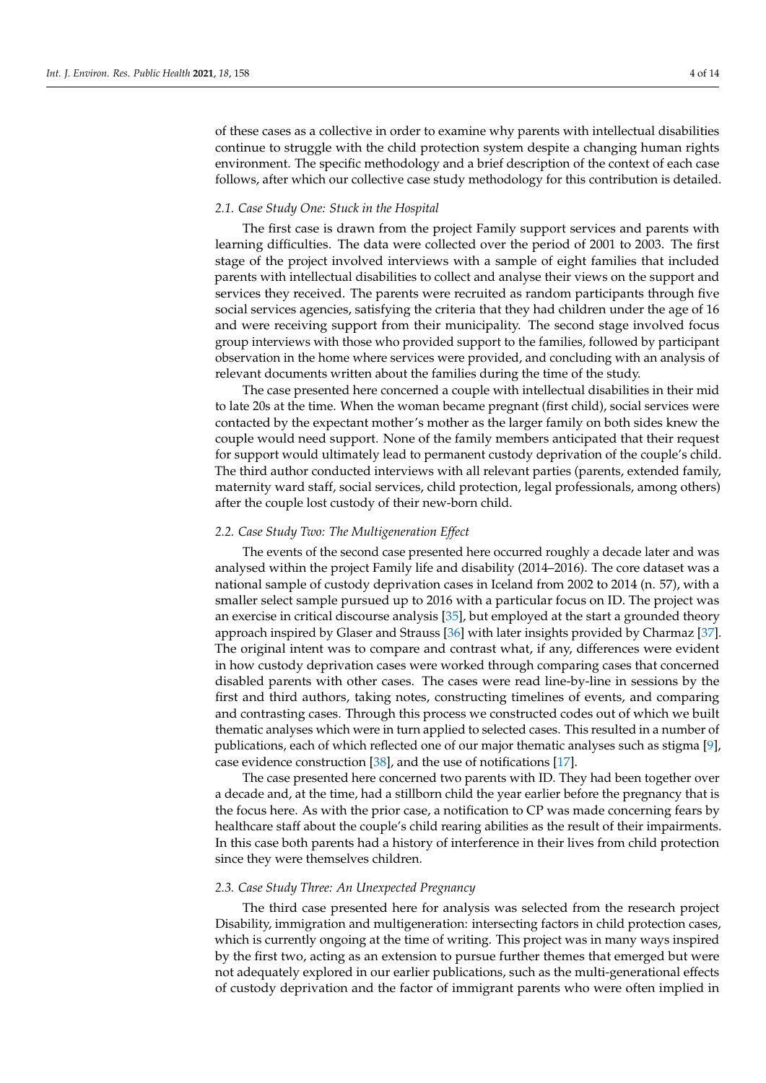of these cases as a collective in order to examine why parents with intellectual disabilities continue to struggle with the child protection system despite a changing human rights environment. The specific methodology and a brief description of the context of each case follows, after which our collective case study methodology for this contribution is detailed.

#### *2.1. Case Study One: Stuck in the Hospital*

The first case is drawn from the project Family support services and parents with learning difficulties. The data were collected over the period of 2001 to 2003. The first stage of the project involved interviews with a sample of eight families that included parents with intellectual disabilities to collect and analyse their views on the support and services they received. The parents were recruited as random participants through five social services agencies, satisfying the criteria that they had children under the age of 16 and were receiving support from their municipality. The second stage involved focus group interviews with those who provided support to the families, followed by participant observation in the home where services were provided, and concluding with an analysis of relevant documents written about the families during the time of the study.

The case presented here concerned a couple with intellectual disabilities in their mid to late 20s at the time. When the woman became pregnant (first child), social services were contacted by the expectant mother's mother as the larger family on both sides knew the couple would need support. None of the family members anticipated that their request for support would ultimately lead to permanent custody deprivation of the couple's child. The third author conducted interviews with all relevant parties (parents, extended family, maternity ward staff, social services, child protection, legal professionals, among others) after the couple lost custody of their new-born child.

#### *2.2. Case Study Two: The Multigeneration Effect*

The events of the second case presented here occurred roughly a decade later and was analysed within the project Family life and disability (2014–2016). The core dataset was a national sample of custody deprivation cases in Iceland from 2002 to 2014 (n. 57), with a smaller select sample pursued up to 2016 with a particular focus on ID. The project was an exercise in critical discourse analysis [\[35\]](#page-13-18), but employed at the start a grounded theory approach inspired by Glaser and Strauss [\[36\]](#page-13-19) with later insights provided by Charmaz [\[37\]](#page-13-20). The original intent was to compare and contrast what, if any, differences were evident in how custody deprivation cases were worked through comparing cases that concerned disabled parents with other cases. The cases were read line-by-line in sessions by the first and third authors, taking notes, constructing timelines of events, and comparing and contrasting cases. Through this process we constructed codes out of which we built thematic analyses which were in turn applied to selected cases. This resulted in a number of publications, each of which reflected one of our major thematic analyses such as stigma [\[9\]](#page-12-7), case evidence construction [\[38\]](#page-13-21), and the use of notifications [\[17\]](#page-13-3).

The case presented here concerned two parents with ID. They had been together over a decade and, at the time, had a stillborn child the year earlier before the pregnancy that is the focus here. As with the prior case, a notification to CP was made concerning fears by healthcare staff about the couple's child rearing abilities as the result of their impairments. In this case both parents had a history of interference in their lives from child protection since they were themselves children.

#### *2.3. Case Study Three: An Unexpected Pregnancy*

The third case presented here for analysis was selected from the research project Disability, immigration and multigeneration: intersecting factors in child protection cases, which is currently ongoing at the time of writing. This project was in many ways inspired by the first two, acting as an extension to pursue further themes that emerged but were not adequately explored in our earlier publications, such as the multi-generational effects of custody deprivation and the factor of immigrant parents who were often implied in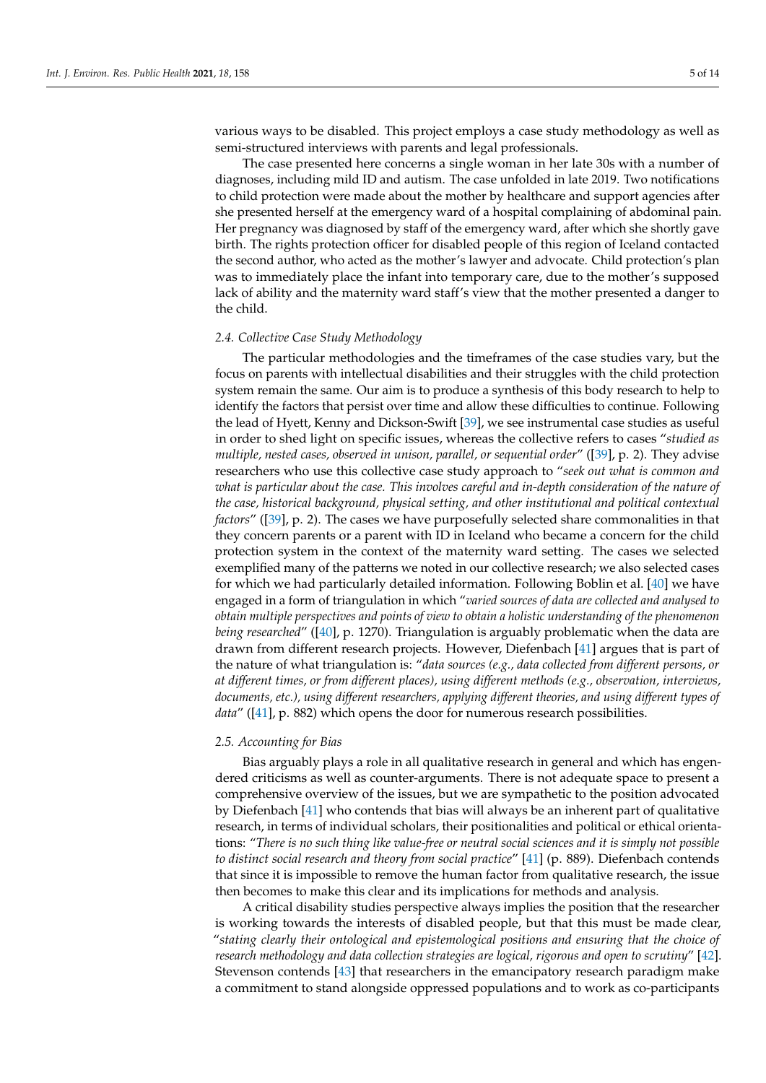various ways to be disabled. This project employs a case study methodology as well as semi-structured interviews with parents and legal professionals.

The case presented here concerns a single woman in her late 30s with a number of diagnoses, including mild ID and autism. The case unfolded in late 2019. Two notifications to child protection were made about the mother by healthcare and support agencies after she presented herself at the emergency ward of a hospital complaining of abdominal pain. Her pregnancy was diagnosed by staff of the emergency ward, after which she shortly gave birth. The rights protection officer for disabled people of this region of Iceland contacted the second author, who acted as the mother's lawyer and advocate. Child protection's plan was to immediately place the infant into temporary care, due to the mother's supposed lack of ability and the maternity ward staff's view that the mother presented a danger to the child.

#### *2.4. Collective Case Study Methodology*

The particular methodologies and the timeframes of the case studies vary, but the focus on parents with intellectual disabilities and their struggles with the child protection system remain the same. Our aim is to produce a synthesis of this body research to help to identify the factors that persist over time and allow these difficulties to continue. Following the lead of Hyett, Kenny and Dickson-Swift [\[39\]](#page-13-22), we see instrumental case studies as useful in order to shed light on specific issues, whereas the collective refers to cases "*studied as multiple, nested cases, observed in unison, parallel, or sequential order*" ([\[39\]](#page-13-22), p. 2). They advise researchers who use this collective case study approach to "*seek out what is common and what is particular about the case. This involves careful and in-depth consideration of the nature of the case, historical background, physical setting, and other institutional and political contextual factors*" ([\[39\]](#page-13-22), p. 2). The cases we have purposefully selected share commonalities in that they concern parents or a parent with ID in Iceland who became a concern for the child protection system in the context of the maternity ward setting. The cases we selected exemplified many of the patterns we noted in our collective research; we also selected cases for which we had particularly detailed information. Following Boblin et al. [\[40\]](#page-13-23) we have engaged in a form of triangulation in which "*varied sources of data are collected and analysed to obtain multiple perspectives and points of view to obtain a holistic understanding of the phenomenon being researched*" ([\[40\]](#page-13-23), p. 1270). Triangulation is arguably problematic when the data are drawn from different research projects. However, Diefenbach [\[41\]](#page-13-24) argues that is part of the nature of what triangulation is: "*data sources (e.g., data collected from different persons, or at different times, or from different places), using different methods (e.g., observation, interviews, documents, etc.), using different researchers, applying different theories, and using different types of data*" ([\[41\]](#page-13-24), p. 882) which opens the door for numerous research possibilities.

# *2.5. Accounting for Bias*

Bias arguably plays a role in all qualitative research in general and which has engendered criticisms as well as counter-arguments. There is not adequate space to present a comprehensive overview of the issues, but we are sympathetic to the position advocated by Diefenbach [\[41\]](#page-13-24) who contends that bias will always be an inherent part of qualitative research, in terms of individual scholars, their positionalities and political or ethical orientations: "*There is no such thing like value-free or neutral social sciences and it is simply not possible to distinct social research and theory from social practice*" [\[41\]](#page-13-24) (p. 889). Diefenbach contends that since it is impossible to remove the human factor from qualitative research, the issue then becomes to make this clear and its implications for methods and analysis.

A critical disability studies perspective always implies the position that the researcher is working towards the interests of disabled people, but that this must be made clear, "*stating clearly their ontological and epistemological positions and ensuring that the choice of research methodology and data collection strategies are logical, rigorous and open to scrutiny*" [\[42\]](#page-13-25). Stevenson contends [\[43\]](#page-13-26) that researchers in the emancipatory research paradigm make a commitment to stand alongside oppressed populations and to work as co-participants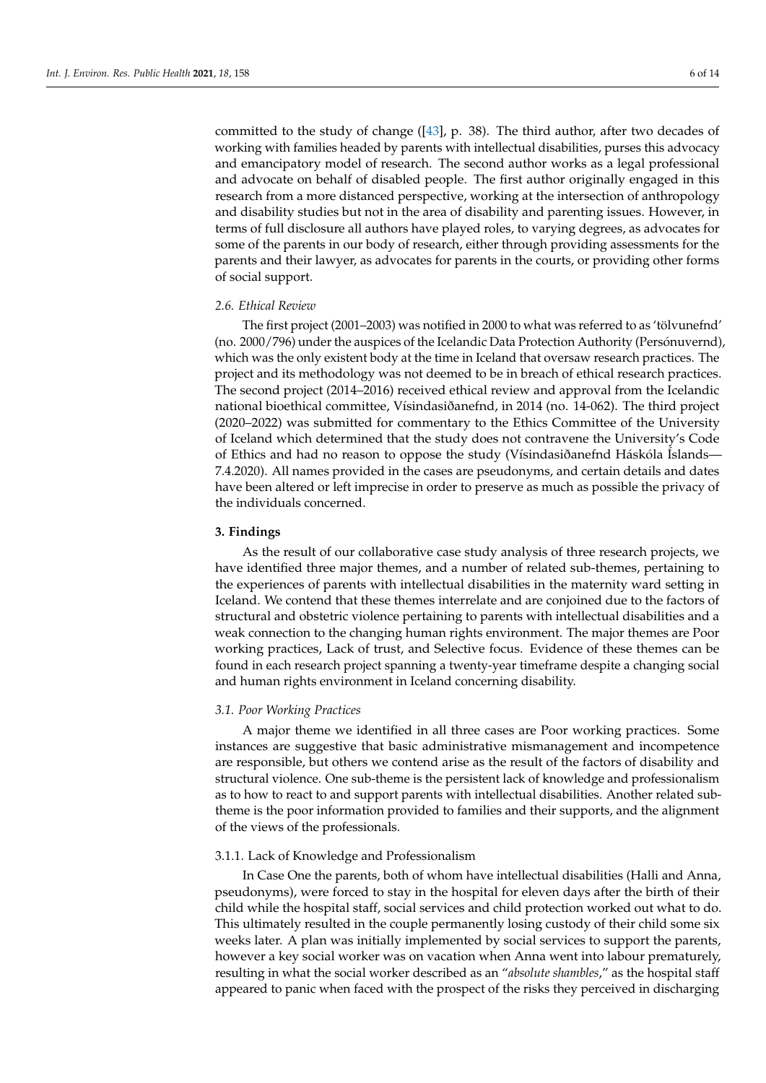committed to the study of change ([\[43\]](#page-13-26), p. 38). The third author, after two decades of working with families headed by parents with intellectual disabilities, purses this advocacy and emancipatory model of research. The second author works as a legal professional and advocate on behalf of disabled people. The first author originally engaged in this

research from a more distanced perspective, working at the intersection of anthropology and disability studies but not in the area of disability and parenting issues. However, in terms of full disclosure all authors have played roles, to varying degrees, as advocates for some of the parents in our body of research, either through providing assessments for the parents and their lawyer, as advocates for parents in the courts, or providing other forms of social support.

#### *2.6. Ethical Review*

The first project (2001–2003) was notified in 2000 to what was referred to as 'tölvunefnd' (no. 2000/796) under the auspices of the Icelandic Data Protection Authority (Persónuvernd), which was the only existent body at the time in Iceland that oversaw research practices. The project and its methodology was not deemed to be in breach of ethical research practices. The second project (2014–2016) received ethical review and approval from the Icelandic national bioethical committee, Vísindasiðanefnd, in 2014 (no. 14-062). The third project (2020–2022) was submitted for commentary to the Ethics Committee of the University of Iceland which determined that the study does not contravene the University's Code of Ethics and had no reason to oppose the study (Vísindasiðanefnd Háskóla Íslands— 7.4.2020). All names provided in the cases are pseudonyms, and certain details and dates have been altered or left imprecise in order to preserve as much as possible the privacy of the individuals concerned.

#### **3. Findings**

As the result of our collaborative case study analysis of three research projects, we have identified three major themes, and a number of related sub-themes, pertaining to the experiences of parents with intellectual disabilities in the maternity ward setting in Iceland. We contend that these themes interrelate and are conjoined due to the factors of structural and obstetric violence pertaining to parents with intellectual disabilities and a weak connection to the changing human rights environment. The major themes are Poor working practices, Lack of trust, and Selective focus. Evidence of these themes can be found in each research project spanning a twenty-year timeframe despite a changing social and human rights environment in Iceland concerning disability.

# *3.1. Poor Working Practices*

A major theme we identified in all three cases are Poor working practices. Some instances are suggestive that basic administrative mismanagement and incompetence are responsible, but others we contend arise as the result of the factors of disability and structural violence. One sub-theme is the persistent lack of knowledge and professionalism as to how to react to and support parents with intellectual disabilities. Another related subtheme is the poor information provided to families and their supports, and the alignment of the views of the professionals.

#### 3.1.1. Lack of Knowledge and Professionalism

In Case One the parents, both of whom have intellectual disabilities (Halli and Anna, pseudonyms), were forced to stay in the hospital for eleven days after the birth of their child while the hospital staff, social services and child protection worked out what to do. This ultimately resulted in the couple permanently losing custody of their child some six weeks later. A plan was initially implemented by social services to support the parents, however a key social worker was on vacation when Anna went into labour prematurely, resulting in what the social worker described as an "*absolute shambles*," as the hospital staff appeared to panic when faced with the prospect of the risks they perceived in discharging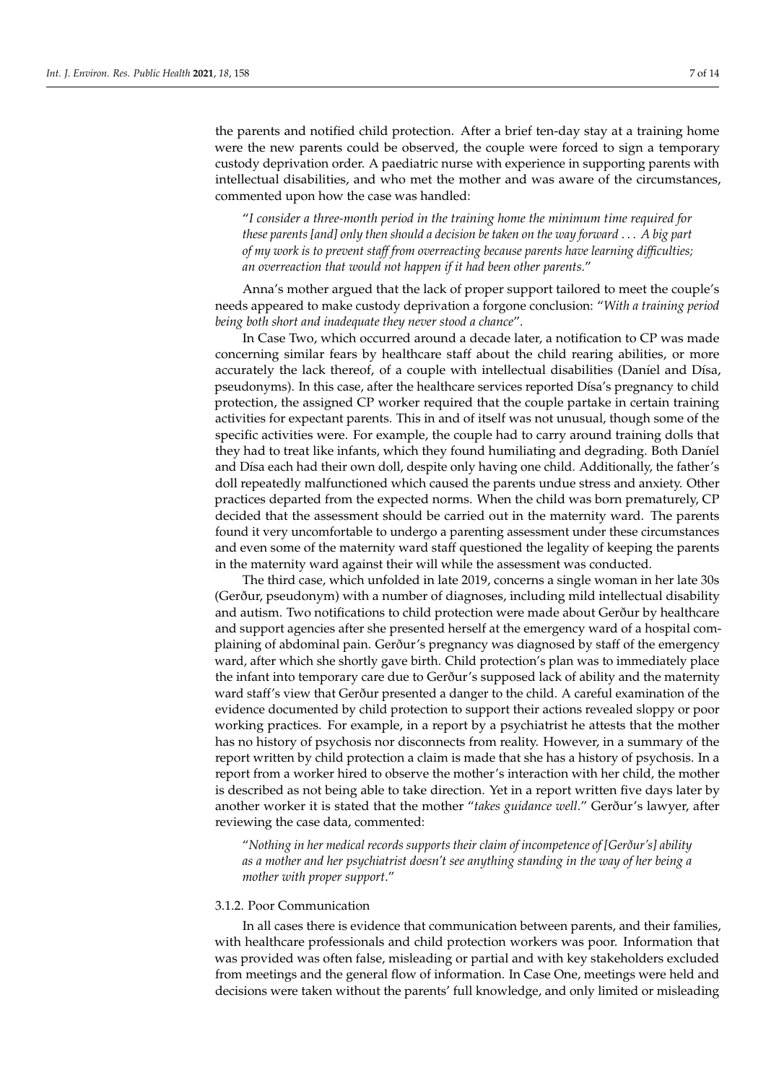the parents and notified child protection. After a brief ten-day stay at a training home were the new parents could be observed, the couple were forced to sign a temporary custody deprivation order. A paediatric nurse with experience in supporting parents with intellectual disabilities, and who met the mother and was aware of the circumstances, commented upon how the case was handled:

"*I consider a three-month period in the training home the minimum time required for these parents [and] only then should a decision be taken on the way forward* . . . *A big part of my work is to prevent staff from overreacting because parents have learning difficulties; an overreaction that would not happen if it had been other parents.*"

Anna's mother argued that the lack of proper support tailored to meet the couple's needs appeared to make custody deprivation a forgone conclusion: "*With a training period being both short and inadequate they never stood a chance*".

In Case Two, which occurred around a decade later, a notification to CP was made concerning similar fears by healthcare staff about the child rearing abilities, or more accurately the lack thereof, of a couple with intellectual disabilities (Daníel and Dísa, pseudonyms). In this case, after the healthcare services reported Dísa's pregnancy to child protection, the assigned CP worker required that the couple partake in certain training activities for expectant parents. This in and of itself was not unusual, though some of the specific activities were. For example, the couple had to carry around training dolls that they had to treat like infants, which they found humiliating and degrading. Both Daníel and Dísa each had their own doll, despite only having one child. Additionally, the father's doll repeatedly malfunctioned which caused the parents undue stress and anxiety. Other practices departed from the expected norms. When the child was born prematurely, CP decided that the assessment should be carried out in the maternity ward. The parents found it very uncomfortable to undergo a parenting assessment under these circumstances and even some of the maternity ward staff questioned the legality of keeping the parents in the maternity ward against their will while the assessment was conducted.

The third case, which unfolded in late 2019, concerns a single woman in her late 30s (Gerður, pseudonym) with a number of diagnoses, including mild intellectual disability and autism. Two notifications to child protection were made about Gerður by healthcare and support agencies after she presented herself at the emergency ward of a hospital complaining of abdominal pain. Gerður's pregnancy was diagnosed by staff of the emergency ward, after which she shortly gave birth. Child protection's plan was to immediately place the infant into temporary care due to Gerður's supposed lack of ability and the maternity ward staff's view that Gerður presented a danger to the child. A careful examination of the evidence documented by child protection to support their actions revealed sloppy or poor working practices. For example, in a report by a psychiatrist he attests that the mother has no history of psychosis nor disconnects from reality. However, in a summary of the report written by child protection a claim is made that she has a history of psychosis. In a report from a worker hired to observe the mother's interaction with her child, the mother is described as not being able to take direction. Yet in a report written five days later by another worker it is stated that the mother "*takes guidance well*." Gerður's lawyer, after reviewing the case data, commented:

"*Nothing in her medical records supports their claim of incompetence of [Gerður's] ability as a mother and her psychiatrist doesn't see anything standing in the way of her being a mother with proper support*."

# 3.1.2. Poor Communication

In all cases there is evidence that communication between parents, and their families, with healthcare professionals and child protection workers was poor. Information that was provided was often false, misleading or partial and with key stakeholders excluded from meetings and the general flow of information. In Case One, meetings were held and decisions were taken without the parents' full knowledge, and only limited or misleading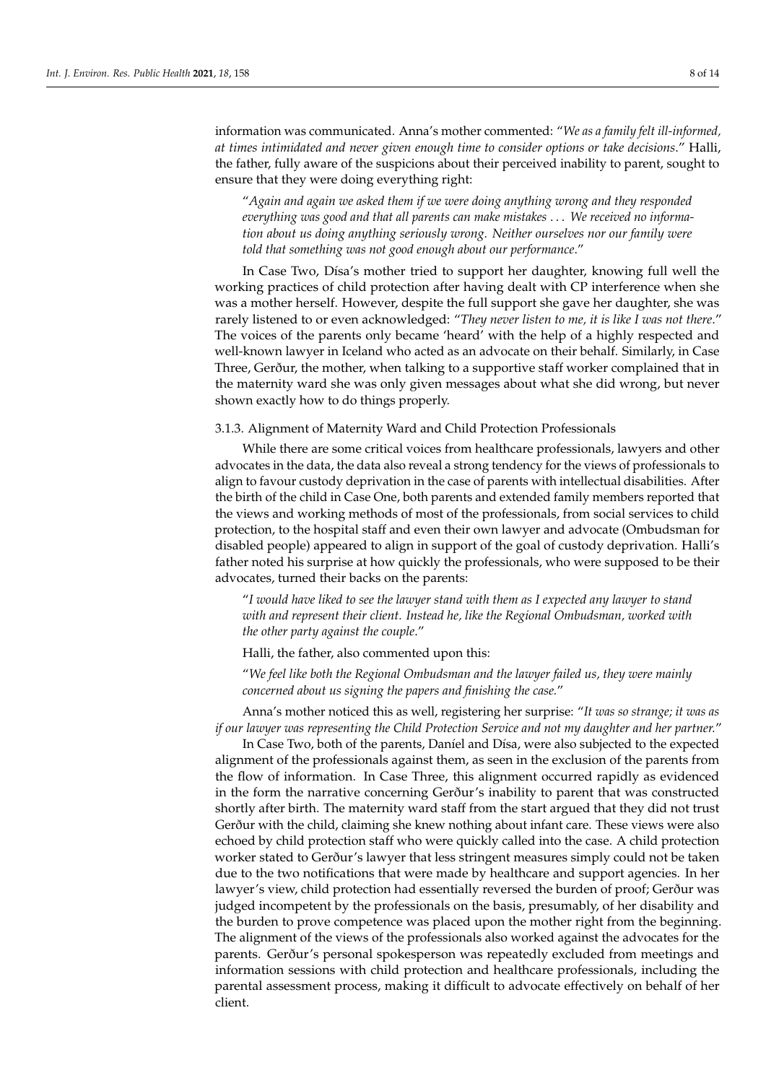information was communicated. Anna's mother commented: "*We as a family felt ill-informed, at times intimidated and never given enough time to consider options or take decisions*." Halli, the father, fully aware of the suspicions about their perceived inability to parent, sought to ensure that they were doing everything right:

"*Again and again we asked them if we were doing anything wrong and they responded everything was good and that all parents can make mistakes* . . . *We received no information about us doing anything seriously wrong. Neither ourselves nor our family were told that something was not good enough about our performance*."

In Case Two, Dísa's mother tried to support her daughter, knowing full well the working practices of child protection after having dealt with CP interference when she was a mother herself. However, despite the full support she gave her daughter, she was rarely listened to or even acknowledged: "*They never listen to me, it is like I was not there*." The voices of the parents only became 'heard' with the help of a highly respected and well-known lawyer in Iceland who acted as an advocate on their behalf. Similarly, in Case Three, Gerður, the mother, when talking to a supportive staff worker complained that in the maternity ward she was only given messages about what she did wrong, but never shown exactly how to do things properly.

3.1.3. Alignment of Maternity Ward and Child Protection Professionals

While there are some critical voices from healthcare professionals, lawyers and other advocates in the data, the data also reveal a strong tendency for the views of professionals to align to favour custody deprivation in the case of parents with intellectual disabilities. After the birth of the child in Case One, both parents and extended family members reported that the views and working methods of most of the professionals, from social services to child protection, to the hospital staff and even their own lawyer and advocate (Ombudsman for disabled people) appeared to align in support of the goal of custody deprivation. Halli's father noted his surprise at how quickly the professionals, who were supposed to be their advocates, turned their backs on the parents:

"*I would have liked to see the lawyer stand with them as I expected any lawyer to stand with and represent their client. Instead he, like the Regional Ombudsman, worked with the other party against the couple*."

Halli, the father, also commented upon this:

"*We feel like both the Regional Ombudsman and the lawyer failed us, they were mainly concerned about us signing the papers and finishing the case.*"

Anna's mother noticed this as well, registering her surprise: "*It was so strange; it was as if our lawyer was representing the Child Protection Service and not my daughter and her partner.*"

In Case Two, both of the parents, Daníel and Dísa, were also subjected to the expected alignment of the professionals against them, as seen in the exclusion of the parents from the flow of information. In Case Three, this alignment occurred rapidly as evidenced in the form the narrative concerning Gerður's inability to parent that was constructed shortly after birth. The maternity ward staff from the start argued that they did not trust Gerður with the child, claiming she knew nothing about infant care. These views were also echoed by child protection staff who were quickly called into the case. A child protection worker stated to Gerður's lawyer that less stringent measures simply could not be taken due to the two notifications that were made by healthcare and support agencies. In her lawyer's view, child protection had essentially reversed the burden of proof; Gerður was judged incompetent by the professionals on the basis, presumably, of her disability and the burden to prove competence was placed upon the mother right from the beginning. The alignment of the views of the professionals also worked against the advocates for the parents. Gerður's personal spokesperson was repeatedly excluded from meetings and information sessions with child protection and healthcare professionals, including the parental assessment process, making it difficult to advocate effectively on behalf of her client.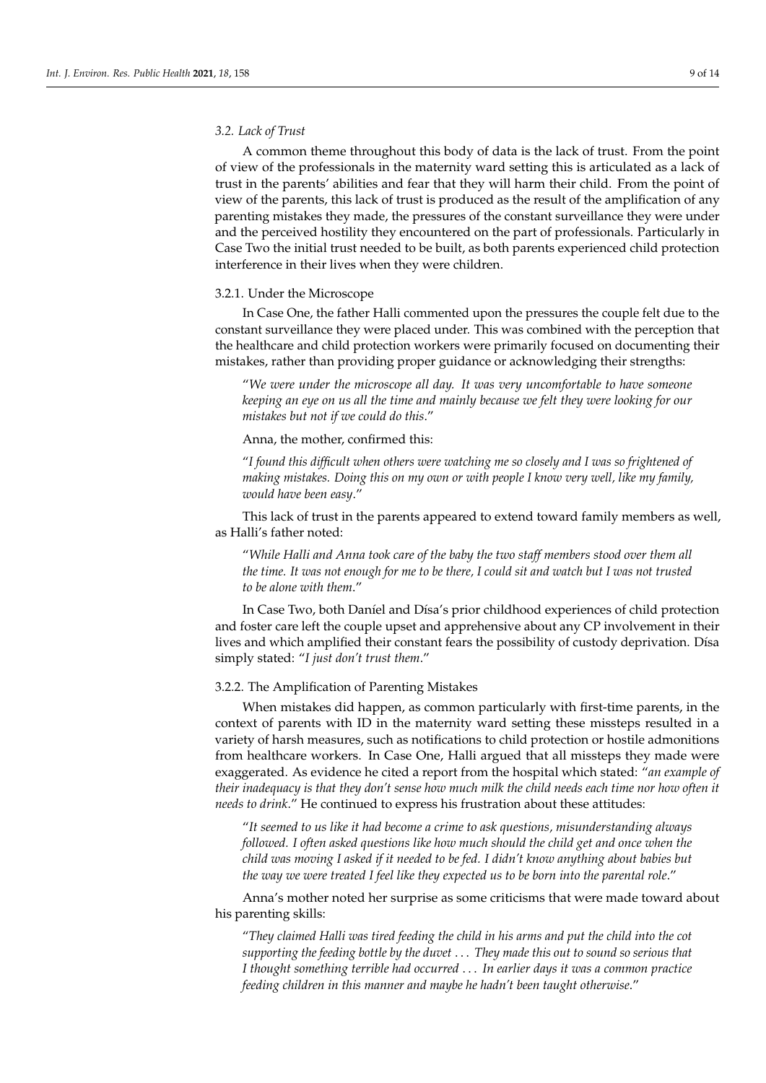# *3.2. Lack of Trust*

A common theme throughout this body of data is the lack of trust. From the point of view of the professionals in the maternity ward setting this is articulated as a lack of trust in the parents' abilities and fear that they will harm their child. From the point of view of the parents, this lack of trust is produced as the result of the amplification of any parenting mistakes they made, the pressures of the constant surveillance they were under and the perceived hostility they encountered on the part of professionals. Particularly in Case Two the initial trust needed to be built, as both parents experienced child protection interference in their lives when they were children.

#### 3.2.1. Under the Microscope

In Case One, the father Halli commented upon the pressures the couple felt due to the constant surveillance they were placed under. This was combined with the perception that the healthcare and child protection workers were primarily focused on documenting their mistakes, rather than providing proper guidance or acknowledging their strengths:

"*We were under the microscope all day. It was very uncomfortable to have someone keeping an eye on us all the time and mainly because we felt they were looking for our mistakes but not if we could do this*."

Anna, the mother, confirmed this:

"*I found this difficult when others were watching me so closely and I was so frightened of making mistakes. Doing this on my own or with people I know very well, like my family, would have been easy*."

This lack of trust in the parents appeared to extend toward family members as well, as Halli's father noted:

"*While Halli and Anna took care of the baby the two staff members stood over them all the time. It was not enough for me to be there, I could sit and watch but I was not trusted to be alone with them*."

In Case Two, both Daníel and Dísa's prior childhood experiences of child protection and foster care left the couple upset and apprehensive about any CP involvement in their lives and which amplified their constant fears the possibility of custody deprivation. Dísa simply stated: "*I just don't trust them*."

#### 3.2.2. The Amplification of Parenting Mistakes

When mistakes did happen, as common particularly with first-time parents, in the context of parents with ID in the maternity ward setting these missteps resulted in a variety of harsh measures, such as notifications to child protection or hostile admonitions from healthcare workers. In Case One, Halli argued that all missteps they made were exaggerated. As evidence he cited a report from the hospital which stated: "*an example of their inadequacy is that they don't sense how much milk the child needs each time nor how often it needs to drink*." He continued to express his frustration about these attitudes:

"*It seemed to us like it had become a crime to ask questions, misunderstanding always followed. I often asked questions like how much should the child get and once when the child was moving I asked if it needed to be fed. I didn't know anything about babies but the way we were treated I feel like they expected us to be born into the parental role*."

Anna's mother noted her surprise as some criticisms that were made toward about his parenting skills:

"*They claimed Halli was tired feeding the child in his arms and put the child into the cot supporting the feeding bottle by the duvet* . . . *They made this out to sound so serious that I thought something terrible had occurred* . . . *In earlier days it was a common practice feeding children in this manner and maybe he hadn't been taught otherwise*."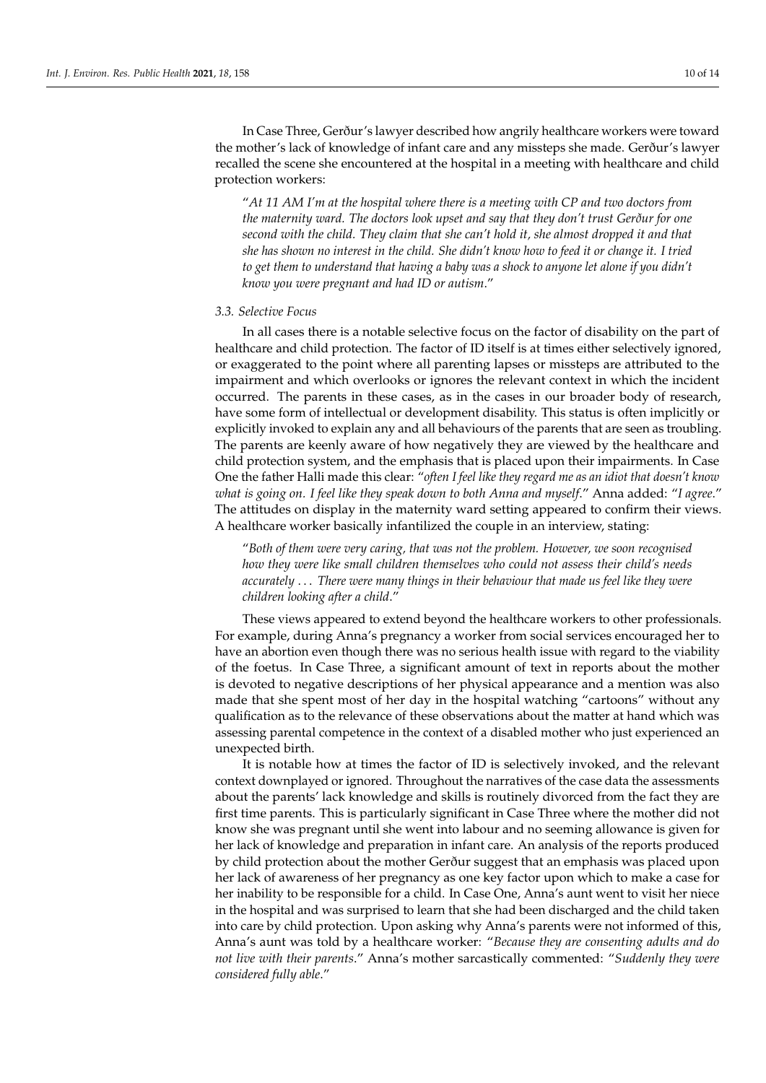In Case Three, Gerður's lawyer described how angrily healthcare workers were toward the mother's lack of knowledge of infant care and any missteps she made. Gerður's lawyer recalled the scene she encountered at the hospital in a meeting with healthcare and child protection workers:

"*At 11 AM I'm at the hospital where there is a meeting with CP and two doctors from the maternity ward. The doctors look upset and say that they don't trust Gerður for one second with the child. They claim that she can't hold it, she almost dropped it and that she has shown no interest in the child. She didn't know how to feed it or change it. I tried to get them to understand that having a baby was a shock to anyone let alone if you didn't know you were pregnant and had ID or autism*."

# *3.3. Selective Focus*

In all cases there is a notable selective focus on the factor of disability on the part of healthcare and child protection. The factor of ID itself is at times either selectively ignored, or exaggerated to the point where all parenting lapses or missteps are attributed to the impairment and which overlooks or ignores the relevant context in which the incident occurred. The parents in these cases, as in the cases in our broader body of research, have some form of intellectual or development disability. This status is often implicitly or explicitly invoked to explain any and all behaviours of the parents that are seen as troubling. The parents are keenly aware of how negatively they are viewed by the healthcare and child protection system, and the emphasis that is placed upon their impairments. In Case One the father Halli made this clear: "*often I feel like they regard me as an idiot that doesn't know what is going on. I feel like they speak down to both Anna and myself*." Anna added: "*I agree*." The attitudes on display in the maternity ward setting appeared to confirm their views. A healthcare worker basically infantilized the couple in an interview, stating:

"*Both of them were very caring, that was not the problem. However, we soon recognised how they were like small children themselves who could not assess their child's needs accurately* . . . *There were many things in their behaviour that made us feel like they were children looking after a child*."

These views appeared to extend beyond the healthcare workers to other professionals. For example, during Anna's pregnancy a worker from social services encouraged her to have an abortion even though there was no serious health issue with regard to the viability of the foetus. In Case Three, a significant amount of text in reports about the mother is devoted to negative descriptions of her physical appearance and a mention was also made that she spent most of her day in the hospital watching "cartoons" without any qualification as to the relevance of these observations about the matter at hand which was assessing parental competence in the context of a disabled mother who just experienced an unexpected birth.

It is notable how at times the factor of ID is selectively invoked, and the relevant context downplayed or ignored. Throughout the narratives of the case data the assessments about the parents' lack knowledge and skills is routinely divorced from the fact they are first time parents. This is particularly significant in Case Three where the mother did not know she was pregnant until she went into labour and no seeming allowance is given for her lack of knowledge and preparation in infant care. An analysis of the reports produced by child protection about the mother Gerður suggest that an emphasis was placed upon her lack of awareness of her pregnancy as one key factor upon which to make a case for her inability to be responsible for a child. In Case One, Anna's aunt went to visit her niece in the hospital and was surprised to learn that she had been discharged and the child taken into care by child protection. Upon asking why Anna's parents were not informed of this, Anna's aunt was told by a healthcare worker: "*Because they are consenting adults and do not live with their parents*." Anna's mother sarcastically commented: "*Suddenly they were considered fully able*."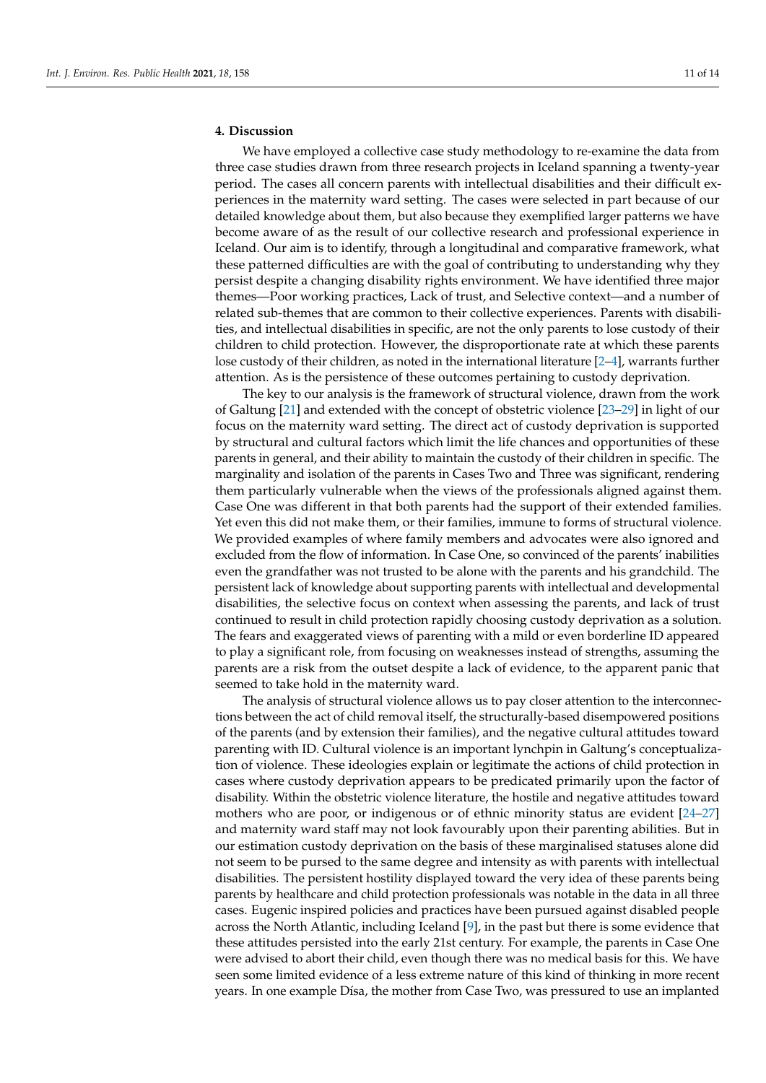# **4. Discussion**

We have employed a collective case study methodology to re-examine the data from three case studies drawn from three research projects in Iceland spanning a twenty-year period. The cases all concern parents with intellectual disabilities and their difficult experiences in the maternity ward setting. The cases were selected in part because of our detailed knowledge about them, but also because they exemplified larger patterns we have become aware of as the result of our collective research and professional experience in Iceland. Our aim is to identify, through a longitudinal and comparative framework, what these patterned difficulties are with the goal of contributing to understanding why they persist despite a changing disability rights environment. We have identified three major themes—Poor working practices, Lack of trust, and Selective context—and a number of related sub-themes that are common to their collective experiences. Parents with disabilities, and intellectual disabilities in specific, are not the only parents to lose custody of their children to child protection. However, the disproportionate rate at which these parents lose custody of their children, as noted in the international literature [\[2](#page-12-1)[–4\]](#page-12-2), warrants further attention. As is the persistence of these outcomes pertaining to custody deprivation.

The key to our analysis is the framework of structural violence, drawn from the work of Galtung [\[21\]](#page-13-5) and extended with the concept of obstetric violence [\[23](#page-13-7)[–29\]](#page-13-12) in light of our focus on the maternity ward setting. The direct act of custody deprivation is supported by structural and cultural factors which limit the life chances and opportunities of these parents in general, and their ability to maintain the custody of their children in specific. The marginality and isolation of the parents in Cases Two and Three was significant, rendering them particularly vulnerable when the views of the professionals aligned against them. Case One was different in that both parents had the support of their extended families. Yet even this did not make them, or their families, immune to forms of structural violence. We provided examples of where family members and advocates were also ignored and excluded from the flow of information. In Case One, so convinced of the parents' inabilities even the grandfather was not trusted to be alone with the parents and his grandchild. The persistent lack of knowledge about supporting parents with intellectual and developmental disabilities, the selective focus on context when assessing the parents, and lack of trust continued to result in child protection rapidly choosing custody deprivation as a solution. The fears and exaggerated views of parenting with a mild or even borderline ID appeared to play a significant role, from focusing on weaknesses instead of strengths, assuming the parents are a risk from the outset despite a lack of evidence, to the apparent panic that seemed to take hold in the maternity ward.

The analysis of structural violence allows us to pay closer attention to the interconnections between the act of child removal itself, the structurally-based disempowered positions of the parents (and by extension their families), and the negative cultural attitudes toward parenting with ID. Cultural violence is an important lynchpin in Galtung's conceptualization of violence. These ideologies explain or legitimate the actions of child protection in cases where custody deprivation appears to be predicated primarily upon the factor of disability. Within the obstetric violence literature, the hostile and negative attitudes toward mothers who are poor, or indigenous or of ethnic minority status are evident [\[24–](#page-13-8)[27\]](#page-13-10) and maternity ward staff may not look favourably upon their parenting abilities. But in our estimation custody deprivation on the basis of these marginalised statuses alone did not seem to be pursed to the same degree and intensity as with parents with intellectual disabilities. The persistent hostility displayed toward the very idea of these parents being parents by healthcare and child protection professionals was notable in the data in all three cases. Eugenic inspired policies and practices have been pursued against disabled people across the North Atlantic, including Iceland [\[9\]](#page-12-7), in the past but there is some evidence that these attitudes persisted into the early 21st century. For example, the parents in Case One were advised to abort their child, even though there was no medical basis for this. We have seen some limited evidence of a less extreme nature of this kind of thinking in more recent years. In one example Dísa, the mother from Case Two, was pressured to use an implanted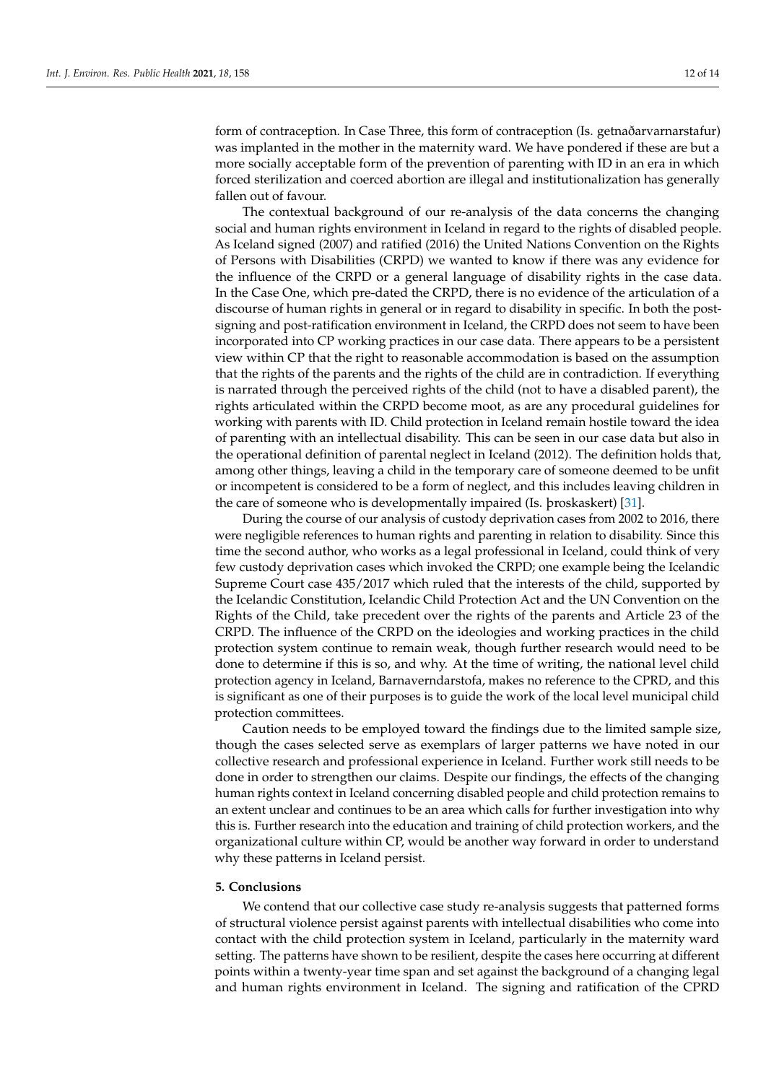form of contraception. In Case Three, this form of contraception (Is. getnaðarvarnarstafur) was implanted in the mother in the maternity ward. We have pondered if these are but a more socially acceptable form of the prevention of parenting with ID in an era in which forced sterilization and coerced abortion are illegal and institutionalization has generally fallen out of favour.

The contextual background of our re-analysis of the data concerns the changing social and human rights environment in Iceland in regard to the rights of disabled people. As Iceland signed (2007) and ratified (2016) the United Nations Convention on the Rights of Persons with Disabilities (CRPD) we wanted to know if there was any evidence for the influence of the CRPD or a general language of disability rights in the case data. In the Case One, which pre-dated the CRPD, there is no evidence of the articulation of a discourse of human rights in general or in regard to disability in specific. In both the postsigning and post-ratification environment in Iceland, the CRPD does not seem to have been incorporated into CP working practices in our case data. There appears to be a persistent view within CP that the right to reasonable accommodation is based on the assumption that the rights of the parents and the rights of the child are in contradiction. If everything is narrated through the perceived rights of the child (not to have a disabled parent), the rights articulated within the CRPD become moot, as are any procedural guidelines for working with parents with ID. Child protection in Iceland remain hostile toward the idea of parenting with an intellectual disability. This can be seen in our case data but also in the operational definition of parental neglect in Iceland (2012). The definition holds that, among other things, leaving a child in the temporary care of someone deemed to be unfit or incompetent is considered to be a form of neglect, and this includes leaving children in the care of someone who is developmentally impaired (Is. þroskaskert) [\[31\]](#page-13-14).

During the course of our analysis of custody deprivation cases from 2002 to 2016, there were negligible references to human rights and parenting in relation to disability. Since this time the second author, who works as a legal professional in Iceland, could think of very few custody deprivation cases which invoked the CRPD; one example being the Icelandic Supreme Court case 435/2017 which ruled that the interests of the child, supported by the Icelandic Constitution, Icelandic Child Protection Act and the UN Convention on the Rights of the Child, take precedent over the rights of the parents and Article 23 of the CRPD. The influence of the CRPD on the ideologies and working practices in the child protection system continue to remain weak, though further research would need to be done to determine if this is so, and why. At the time of writing, the national level child protection agency in Iceland, Barnaverndarstofa, makes no reference to the CPRD, and this is significant as one of their purposes is to guide the work of the local level municipal child protection committees.

Caution needs to be employed toward the findings due to the limited sample size, though the cases selected serve as exemplars of larger patterns we have noted in our collective research and professional experience in Iceland. Further work still needs to be done in order to strengthen our claims. Despite our findings, the effects of the changing human rights context in Iceland concerning disabled people and child protection remains to an extent unclear and continues to be an area which calls for further investigation into why this is. Further research into the education and training of child protection workers, and the organizational culture within CP, would be another way forward in order to understand why these patterns in Iceland persist.

#### **5. Conclusions**

We contend that our collective case study re-analysis suggests that patterned forms of structural violence persist against parents with intellectual disabilities who come into contact with the child protection system in Iceland, particularly in the maternity ward setting. The patterns have shown to be resilient, despite the cases here occurring at different points within a twenty-year time span and set against the background of a changing legal and human rights environment in Iceland. The signing and ratification of the CPRD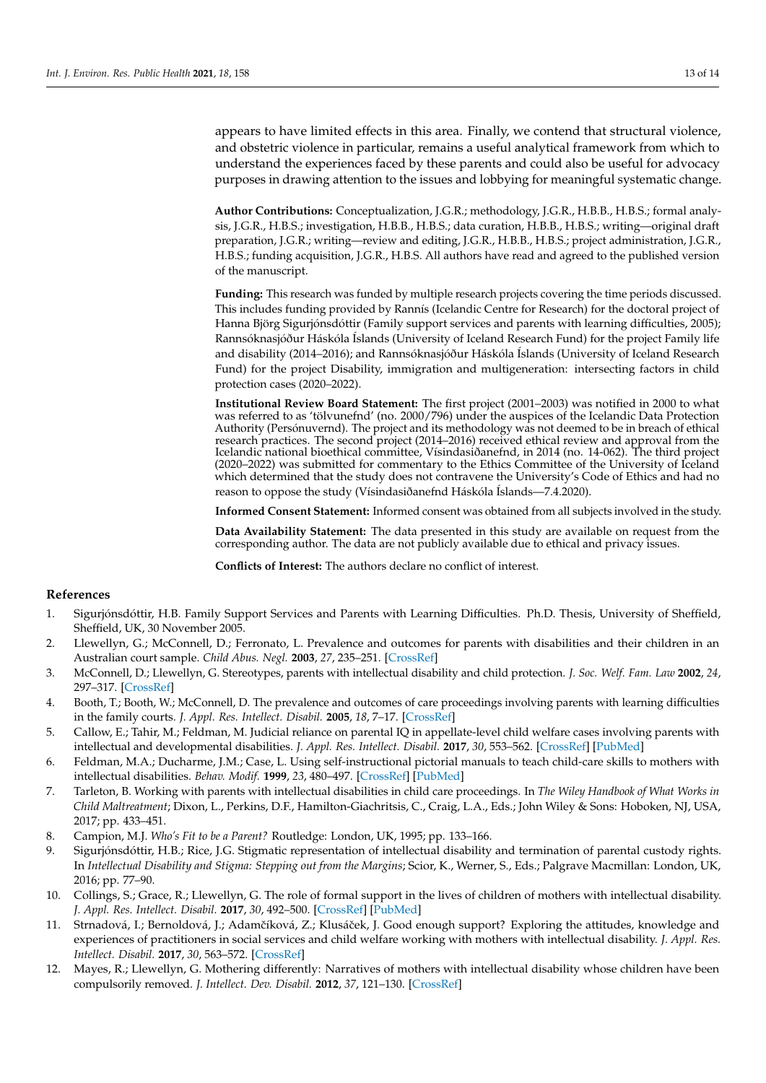appears to have limited effects in this area. Finally, we contend that structural violence, and obstetric violence in particular, remains a useful analytical framework from which to understand the experiences faced by these parents and could also be useful for advocacy purposes in drawing attention to the issues and lobbying for meaningful systematic change.

**Author Contributions:** Conceptualization, J.G.R.; methodology, J.G.R., H.B.B., H.B.S.; formal analysis, J.G.R., H.B.S.; investigation, H.B.B., H.B.S.; data curation, H.B.B., H.B.S.; writing—original draft preparation, J.G.R.; writing—review and editing, J.G.R., H.B.B., H.B.S.; project administration, J.G.R., H.B.S.; funding acquisition, J.G.R., H.B.S. All authors have read and agreed to the published version of the manuscript.

**Funding:** This research was funded by multiple research projects covering the time periods discussed. This includes funding provided by Rannís (Icelandic Centre for Research) for the doctoral project of Hanna Björg Sigurjónsdóttir (Family support services and parents with learning difficulties, 2005); Rannsóknasjóður Háskóla Íslands (University of Iceland Research Fund) for the project Family life and disability (2014–2016); and Rannsóknasjóður Háskóla Íslands (University of Iceland Research Fund) for the project Disability, immigration and multigeneration: intersecting factors in child protection cases (2020–2022).

**Institutional Review Board Statement:** The first project (2001–2003) was notified in 2000 to what was referred to as 'tölvunefnd' (no. 2000/796) under the auspices of the Icelandic Data Protection Authority (Persónuvernd). The project and its methodology was not deemed to be in breach of ethical research practices. The second project (2014–2016) received ethical review and approval from the Icelandic national bioethical committee, Vísindasiðanefnd, in 2014 (no. 14-062). The third project (2020–2022) was submitted for commentary to the Ethics Committee of the University of Iceland which determined that the study does not contravene the University's Code of Ethics and had no reason to oppose the study (Vísindasiðanefnd Háskóla Íslands—7.4.2020).

**Informed Consent Statement:** Informed consent was obtained from all subjects involved in the study.

**Data Availability Statement:** The data presented in this study are available on request from the corresponding author. The data are not publicly available due to ethical and privacy issues.

**Conflicts of Interest:** The authors declare no conflict of interest.

# **References**

- <span id="page-12-0"></span>1. Sigurjónsdóttir, H.B. Family Support Services and Parents with Learning Difficulties. Ph.D. Thesis, University of Sheffield, Sheffield, UK, 30 November 2005.
- <span id="page-12-1"></span>2. Llewellyn, G.; McConnell, D.; Ferronato, L. Prevalence and outcomes for parents with disabilities and their children in an Australian court sample. *Child Abus. Negl.* **2003**, *27*, 235–251. [\[CrossRef\]](http://dx.doi.org/10.1016/S0145-2134(03)00004-8)
- 3. McConnell, D.; Llewellyn, G. Stereotypes, parents with intellectual disability and child protection. *J. Soc. Welf. Fam. Law* **2002**, *24*, 297–317. [\[CrossRef\]](http://dx.doi.org/10.1080/09649060210161294)
- <span id="page-12-2"></span>4. Booth, T.; Booth, W.; McConnell, D. The prevalence and outcomes of care proceedings involving parents with learning difficulties in the family courts. *J. Appl. Res. Intellect. Disabil.* **2005**, *18*, 7–17. [\[CrossRef\]](http://dx.doi.org/10.1111/j.1468-3148.2004.00204.x)
- <span id="page-12-3"></span>5. Callow, E.; Tahir, M.; Feldman, M. Judicial reliance on parental IQ in appellate-level child welfare cases involving parents with intellectual and developmental disabilities. *J. Appl. Res. Intellect. Disabil.* **2017**, *30*, 553–562. [\[CrossRef\]](http://dx.doi.org/10.1111/jar.12296) [\[PubMed\]](http://www.ncbi.nlm.nih.gov/pubmed/27891762)
- <span id="page-12-4"></span>6. Feldman, M.A.; Ducharme, J.M.; Case, L. Using self-instructional pictorial manuals to teach child-care skills to mothers with intellectual disabilities. *Behav. Modif.* **1999**, *23*, 480–497. [\[CrossRef\]](http://dx.doi.org/10.1177/0145445599233007) [\[PubMed\]](http://www.ncbi.nlm.nih.gov/pubmed/10467893)
- <span id="page-12-5"></span>7. Tarleton, B. Working with parents with intellectual disabilities in child care proceedings. In *The Wiley Handbook of What Works in Child Maltreatment*; Dixon, L., Perkins, D.F., Hamilton-Giachritsis, C., Craig, L.A., Eds.; John Wiley & Sons: Hoboken, NJ, USA, 2017; pp. 433–451.
- <span id="page-12-6"></span>8. Campion, M.J. *Who's Fit to be a Parent?* Routledge: London, UK, 1995; pp. 133–166.
- <span id="page-12-7"></span>9. Sigurjónsdóttir, H.B.; Rice, J.G. Stigmatic representation of intellectual disability and termination of parental custody rights. In *Intellectual Disability and Stigma: Stepping out from the Margins*; Scior, K., Werner, S., Eds.; Palgrave Macmillan: London, UK, 2016; pp. 77–90.
- <span id="page-12-8"></span>10. Collings, S.; Grace, R.; Llewellyn, G. The role of formal support in the lives of children of mothers with intellectual disability. *J. Appl. Res. Intellect. Disabil.* **2017**, *30*, 492–500. [\[CrossRef\]](http://dx.doi.org/10.1111/jar.12361) [\[PubMed\]](http://www.ncbi.nlm.nih.gov/pubmed/28397395)
- 11. Strnadová, I.; Bernoldová, J.; Adamčíková, Z.; Klusáček, J. Good enough support? Exploring the attitudes, knowledge and experiences of practitioners in social services and child welfare working with mothers with intellectual disability. *J. Appl. Res. Intellect. Disabil.* **2017**, *30*, 563–572. [\[CrossRef\]](http://dx.doi.org/10.1111/jar.12307)
- 12. Mayes, R.; Llewellyn, G. Mothering differently: Narratives of mothers with intellectual disability whose children have been compulsorily removed. *J. Intellect. Dev. Disabil.* **2012**, *37*, 121–130. [\[CrossRef\]](http://dx.doi.org/10.3109/13668250.2012.673574)